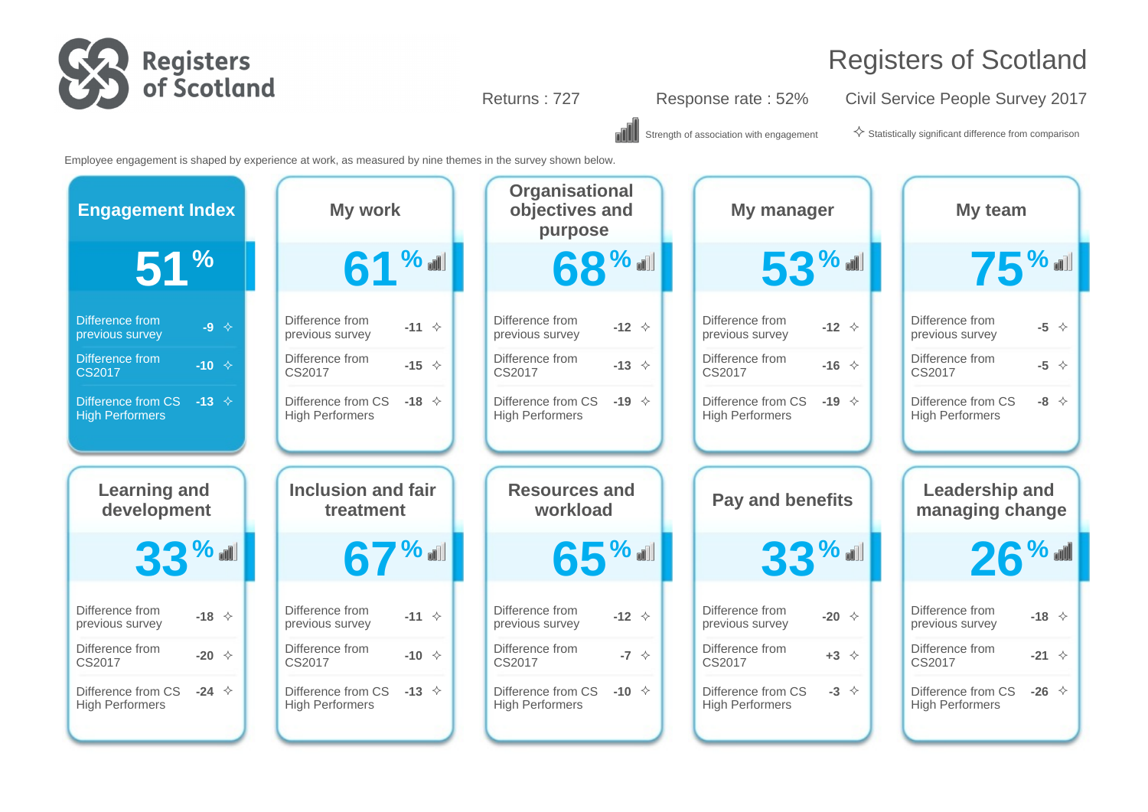

Returns : 727 Response rate : 52% Civil Service People Survey 2017

Strength of association with engagement  $\Diamond$  Statistically significant difference from comparison

Employee engagement is shaped by experience at work, as measured by nine themes in the survey shown below.

| <b>Engagement Index</b> | My work                   | <b>Organisational</b><br>objectives and<br>purpose | My manager              | My team                     |
|-------------------------|---------------------------|----------------------------------------------------|-------------------------|-----------------------------|
| 51 <sup>%</sup>         | 61 % ull                  | 68%                                                | $53$ %                  | $75$ %                      |
| <b>Difference from</b>  | Difference from           | Difference from                                    | Difference from         | Difference from             |
| $-9$ $\leftrightarrow$  | $-11$ $\diamond$          | $-12 \div$                                         | $-12 \div$              | $-5$ $\diamond$             |
| previous survey         | previous survey           | previous survey                                    | previous survey         | previous survey             |
| Difference from         | Difference from           | Difference from                                    | Difference from         | Difference from             |
| $-10 \div$              | -15 $\Diamond$            | $-13 \div$                                         | -16 $\Diamond$          | $-5 \quad \Leftrightarrow$  |
| <b>CS2017</b>           | CS2017                    | CS2017                                             | CS2017                  | CS2017                      |
| Difference from CS      | Difference from CS        | Difference from CS                                 | Difference from CS      | Difference from CS          |
| $-13$ $\diamond$        | $-18$ $\diamond$          | $-19 \div$                                         | -19 $\Diamond$          | $-8$ $\diamond$             |
| <b>High Performers</b>  | <b>High Performers</b>    | <b>High Performers</b>                             | <b>High Performers</b>  | <b>High Performers</b>      |
|                         |                           |                                                    |                         |                             |
| <b>Learning and</b>     | <b>Inclusion and fair</b> | <b>Resources and</b>                               | <b>Pay and benefits</b> | <b>Leadership and</b>       |
| development             | treatment                 | workload                                           |                         | managing change             |
| $33$ %                  | 67%                       | $65\%$                                             | $33$ %                  | $26$ % all                  |
| Difference from         | Difference from           | Difference from                                    | Difference from         | Difference from             |
| -18 $\Diamond$          | $-11$ $\diamond$          | $-12 \div$                                         | $-20 \div$              | -18 $\Diamond$              |
| previous survey         | previous survey           | previous survey                                    | previous survey         | previous survey             |
| Difference from         | Difference from           | Difference from                                    | Difference from         | Difference from             |
| $-20 \div$              | -10 $\Diamond$            | $-7 \div$                                          | $+3$ $\diamond$         | $-21 \quad \Leftrightarrow$ |
| CS2017                  | CS2017                    | CS2017                                             | CS2017                  | CS2017                      |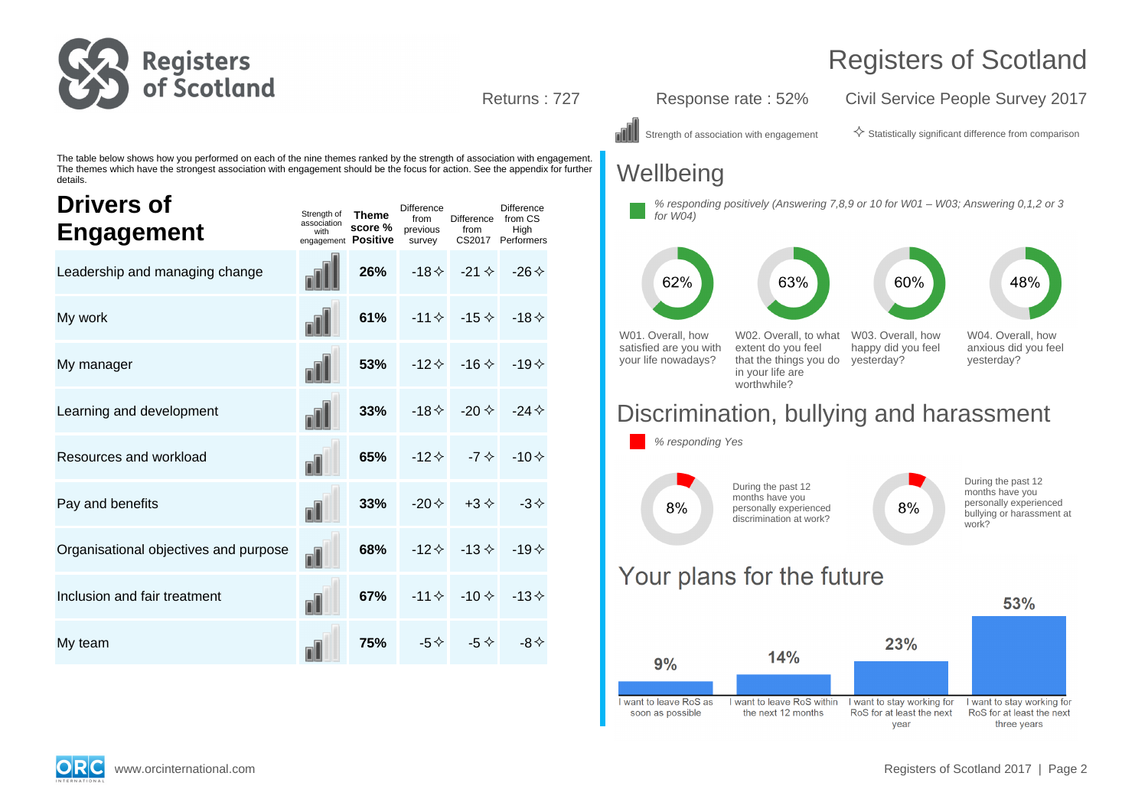

Returns : 727 Response rate : 52% Civil Service People Survey 2017

Strength of association with engagement  $\Diamond$  Statistically significant difference from comparison

48%

The table below shows how you performed on each of the nine themes ranked by the strength of association with engagement. The themes which have the strongest association with engagement should be the focus for action. See the appendix for further details.

| <b>Drivers of</b><br><b>Engagement</b> | Strength of<br>association<br>with | <b>Theme</b><br>score %<br>engagement Positive | <b>Difference</b><br>from<br>previous<br>survey | Difference from CS<br>from                     | <b>Difference</b><br>High<br>CS2017 Performers |
|----------------------------------------|------------------------------------|------------------------------------------------|-------------------------------------------------|------------------------------------------------|------------------------------------------------|
| Leadership and managing change         |                                    | 26%                                            |                                                 | $-18 \diamond $ $-21 \diamond $ $-26 \diamond$ |                                                |
| My work                                |                                    | 61%                                            |                                                 | $-11 \diamond 15 \diamond 118 \diamond$        |                                                |
| My manager                             | nN                                 | 53%                                            |                                                 | $-12 \diamond$ $-16 \diamond$ $-19 \diamond$   |                                                |
| Learning and development               |                                    | 33%                                            |                                                 | $-18 \diamond $ $-20 \diamond $ $-24 \diamond$ |                                                |
| Resources and workload                 | nĪ                                 | 65%                                            |                                                 | $-12 \diamond -7 \diamond$                     | $-10 \diamond$                                 |
| Pay and benefits                       | nI                                 | 33%                                            |                                                 | $-20 \diamond +3 \diamond$                     | $-3 \diamondsuit$                              |
| Organisational objectives and purpose  | nĪ                                 | 68%                                            |                                                 | $-12 \div -13 \div$                            | $-19 \diamond$                                 |
| Inclusion and fair treatment           | nĪ                                 | 67%                                            |                                                 | $-11 \diamond -10 \diamond -13 \diamond$       |                                                |
| My team                                |                                    | 75%                                            |                                                 | $-5 \diamond $ $-5 \diamond $                  | -8 $\leftrightarrow$                           |

## **Wellbeing**





## Discrimination, bullying and harassment



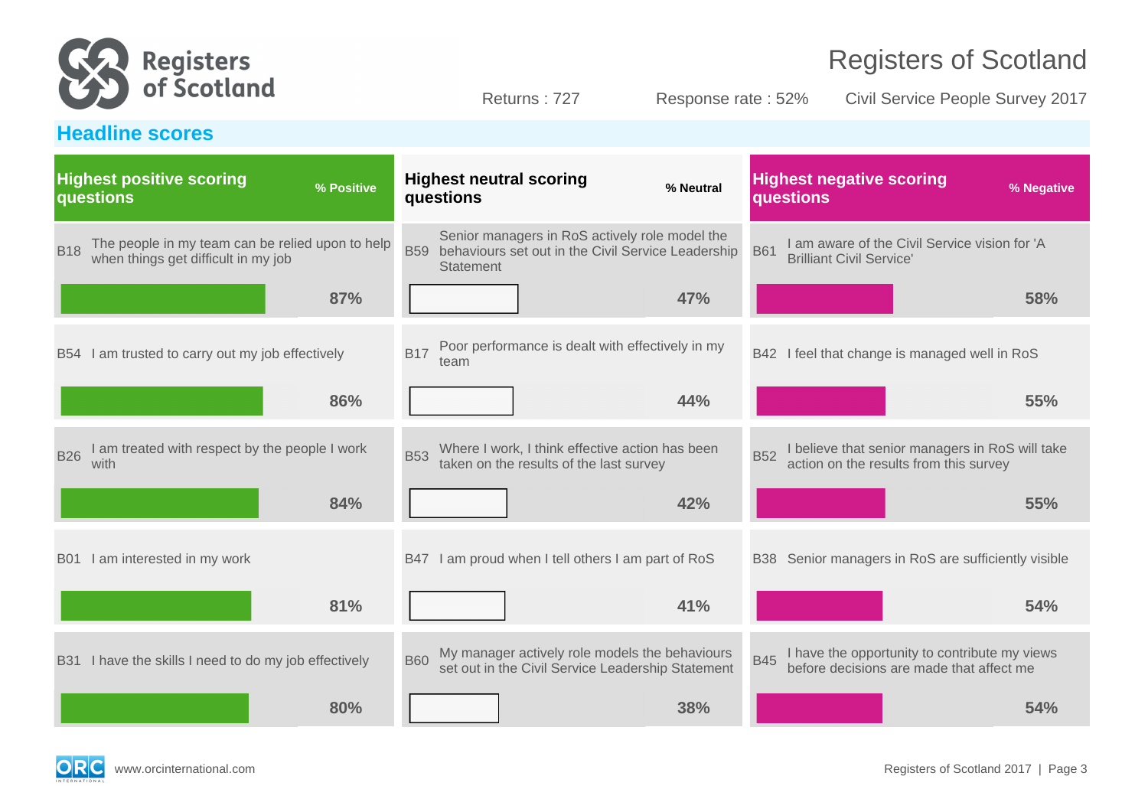

Returns : 727 Response rate : 52% Civil Service People Survey 2017

## **Headline scores**

|            | <b>Highest positive scoring</b><br>questions                                            | % Positive |            | <b>Highest neutral scoring</b><br>questions                                                                       | % Neutral |            | <b>Highest negative scoring</b><br>questions                                              | % Negative |
|------------|-----------------------------------------------------------------------------------------|------------|------------|-------------------------------------------------------------------------------------------------------------------|-----------|------------|-------------------------------------------------------------------------------------------|------------|
| <b>B18</b> | The people in my team can be relied upon to help<br>when things get difficult in my job |            | <b>B59</b> | Senior managers in RoS actively role model the<br>behaviours set out in the Civil Service Leadership<br>Statement |           | <b>B61</b> | I am aware of the Civil Service vision for 'A<br><b>Brilliant Civil Service'</b>          |            |
|            |                                                                                         | 87%        |            |                                                                                                                   | 47%       |            |                                                                                           | 58%        |
|            | B54 I am trusted to carry out my job effectively                                        |            | <b>B17</b> | Poor performance is dealt with effectively in my<br>team                                                          |           |            | B42 I feel that change is managed well in RoS                                             |            |
|            |                                                                                         | 86%        |            |                                                                                                                   | 44%       |            |                                                                                           | 55%        |
| <b>B26</b> | I am treated with respect by the people I work<br>with                                  |            | <b>B53</b> | Where I work, I think effective action has been<br>taken on the results of the last survey                        |           | <b>B52</b> | I believe that senior managers in RoS will take<br>action on the results from this survey |            |
|            |                                                                                         | 84%        |            |                                                                                                                   | 42%       |            |                                                                                           | 55%        |
|            | B01 I am interested in my work                                                          |            |            | B47 I am proud when I tell others I am part of RoS                                                                |           |            | B38 Senior managers in RoS are sufficiently visible                                       |            |
|            |                                                                                         | 81%        |            |                                                                                                                   | 41%       |            |                                                                                           | 54%        |
|            | B31 I have the skills I need to do my job effectively                                   |            | <b>B60</b> | My manager actively role models the behaviours<br>set out in the Civil Service Leadership Statement               |           | <b>B45</b> | I have the opportunity to contribute my views<br>before decisions are made that affect me |            |
|            |                                                                                         | 80%        |            |                                                                                                                   | 38%       |            |                                                                                           | 54%        |

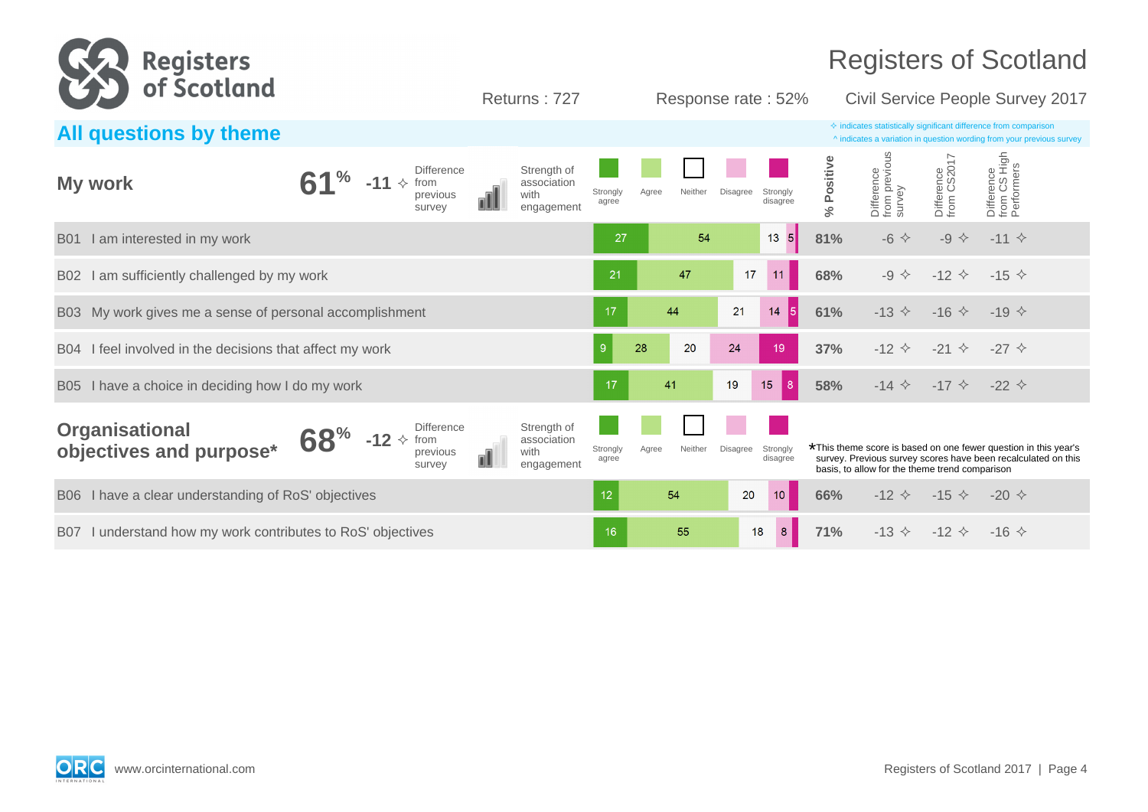

| All questions by theme                                            |                                                                                      |                                                               | $\Diamond$ indicates statistically significant difference from comparison<br>^ indicates a variation in question wording from your previous survey |                       |                                                                                                                                                                                    |                             |                                          |
|-------------------------------------------------------------------|--------------------------------------------------------------------------------------|---------------------------------------------------------------|----------------------------------------------------------------------------------------------------------------------------------------------------|-----------------------|------------------------------------------------------------------------------------------------------------------------------------------------------------------------------------|-----------------------------|------------------------------------------|
| $\mathbf{1}^{\prime\prime}$<br>My work<br>$-11$                   | <b>Difference</b><br>$\rightsquigarrow$<br>from<br>with<br>previous<br>nĪ<br>survey  | Strength of<br>association<br>Strongly<br>agree<br>engagement | Disagree<br>Neither<br>Agree                                                                                                                       | Strongly<br>disagree  | Difference<br>from previous<br>survey<br>% Positive                                                                                                                                | Difference<br>from CS2017   | Difference<br>from CS High<br>Performers |
| I am interested in my work<br><b>B01</b>                          |                                                                                      | 27                                                            | 54                                                                                                                                                 | $\vert 5 \vert$<br>13 | 81%<br>$-6$ $\Leftrightarrow$                                                                                                                                                      | $-9$ $\diamond$             | $-11$ $\diamond$                         |
| I am sufficiently challenged by my work<br>B <sub>02</sub>        |                                                                                      | 21                                                            | 47                                                                                                                                                 | 17<br>11              | 68%<br>$-9 \Leftrightarrow$                                                                                                                                                        | $-12$ $\diamond$            | $-15 \diamond$                           |
| My work gives me a sense of personal accomplishment<br><b>B03</b> |                                                                                      | 17                                                            | 44                                                                                                                                                 | 21<br><b>5</b><br>14  | 61%<br>$-13$ $\diamond$                                                                                                                                                            | $-16 \diamond$              | $-19 \diamond$                           |
| B04 I feel involved in the decisions that affect my work          |                                                                                      | 9 <sup>°</sup>                                                | 28<br>20<br>24                                                                                                                                     | 19                    | 37%<br>$-12$ $\leftrightarrow$                                                                                                                                                     | $-21$ $\diamond$            | $-27$ $\diamond$                         |
| I have a choice in deciding how I do my work<br><b>B05</b>        |                                                                                      | 17                                                            | 41<br>19                                                                                                                                           | 15<br> 8              | $-14$ $\diamond$<br>58%                                                                                                                                                            | $-17$ $\diamond$            | $-22$ $\diamond$                         |
| <b>Organisational</b><br>68%<br>objectives and purpose*           | <b>Difference</b><br>$-12 \div$ from<br>with<br>$\blacksquare$<br>previous<br>survey | Strength of<br>association<br>Strongly<br>agree<br>engagement | <b>Disagree</b><br>Neither<br>Agree                                                                                                                | Strongly<br>disagree  | *This theme score is based on one fewer question in this year's<br>survey. Previous survey scores have been recalculated on this<br>basis, to allow for the theme trend comparison |                             |                                          |
| I have a clear understanding of RoS' objectives<br><b>B06</b>     |                                                                                      | 12 <sub>2</sub>                                               | 54                                                                                                                                                 | 10 <sup>°</sup><br>20 | 66%<br>$-12$ $\diamond$                                                                                                                                                            | $-15 \diamond$              | $-20 \div$                               |
| B07 I understand how my work contributes to RoS' objectives       |                                                                                      | 16                                                            | 55                                                                                                                                                 | 8<br>18               | 71%                                                                                                                                                                                | $-13 \diamond -12 \diamond$ | $-16 \diamond$                           |

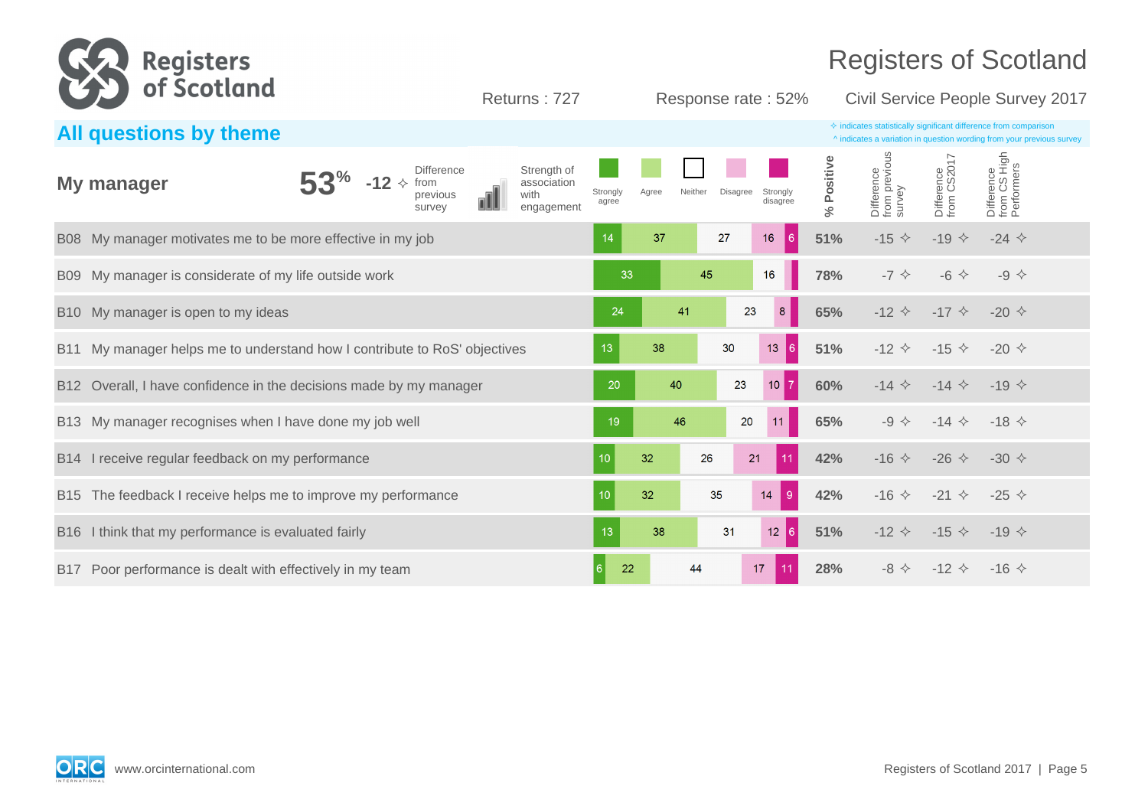

| All questions by theme                                                       |                                                                                                     |                                                                           | $\Diamond$ indicates statistically significant difference from comparison<br>^ indicates a variation in question wording from your previous survey |
|------------------------------------------------------------------------------|-----------------------------------------------------------------------------------------------------|---------------------------------------------------------------------------|----------------------------------------------------------------------------------------------------------------------------------------------------|
| My manager                                                                   | Strength of<br><b>Difference</b><br>from<br>association<br>with<br>previous<br>engagement<br>survey | Strongly<br>Neither<br>Disagree<br>Strongly<br>Agree<br>disagree<br>agree | Difference<br>from previous<br>survey<br>Difference<br>from CS High<br>Performers<br>Difference<br>from CS2017<br>Positive<br>گ<br>ج               |
| B08 My manager motivates me to be more effective in my job                   |                                                                                                     | 6 <br>37<br>$16\,$<br>27<br>14                                            | 51%<br>$-15$ $\diamond$<br>$-19$ $\diamond$<br>$-24$ $\diamond$                                                                                    |
| B09 My manager is considerate of my life outside work                        |                                                                                                     | 45<br>33<br>16                                                            | 78%<br>$-6$ $\Leftrightarrow$<br>$-7$ $\diamondsuit$<br>$-9$ $\diamond$                                                                            |
| B10 My manager is open to my ideas                                           |                                                                                                     | 8 <sup>°</sup><br>23<br>24<br>41                                          | 65%<br>$-12$ $\diamond$<br>$-17$ $\diamond$<br>$-20 \diamond$                                                                                      |
|                                                                              | B11 My manager helps me to understand how I contribute to RoS' objectives                           | 30<br>13 <sub>1</sub><br> 6 <br>13<br>38                                  | 51%<br>$-12$ $\diamond$<br>$-15 \diamond$<br>$-20 \diamond$                                                                                        |
| Overall, I have confidence in the decisions made by my manager<br><b>B12</b> |                                                                                                     | $10$ $7$<br>20<br>23<br>40                                                | 60%<br>$-14$ $\diamond$<br>$-14$ $\diamond$<br>$-19 \diamond$                                                                                      |
| B13 My manager recognises when I have done my job well                       |                                                                                                     | 46<br>20<br>19<br>11                                                      | 65%<br>$-9 \diamondsuit$<br>$-14 \diamond$<br>$-18 \diamond$                                                                                       |
| B14 I receive regular feedback on my performance                             |                                                                                                     | 11<br>32<br>26<br>21<br>10                                                | 42%<br>$-16$ $\Diamond$<br>$-26$ $\diamond$<br>$-30 \diamond$                                                                                      |
| B15 The feedback I receive helps me to improve my performance                |                                                                                                     | $9^{\circ}$<br>32<br>35<br>14                                             | 42%<br>$-21$ $\diamond$<br>$-25$ $\diamond$<br>$-16 \diamond$                                                                                      |
| I think that my performance is evaluated fairly<br><b>B</b> 16               |                                                                                                     | $12 \mid 6 \mid$<br>31<br>13<br>38                                        | 51%<br>$-12$ $\diamond$<br>$-15 \diamond$<br>$-19 \diamond$                                                                                        |
| Poor performance is dealt with effectively in my team<br>B17                 |                                                                                                     | 22<br>44<br>17<br><sup>6</sup><br>11 <sup>1</sup>                         | 28%<br>$-12$ $\diamond$<br>$-8$ $\leftrightarrow$<br>$-16 \diamond$                                                                                |

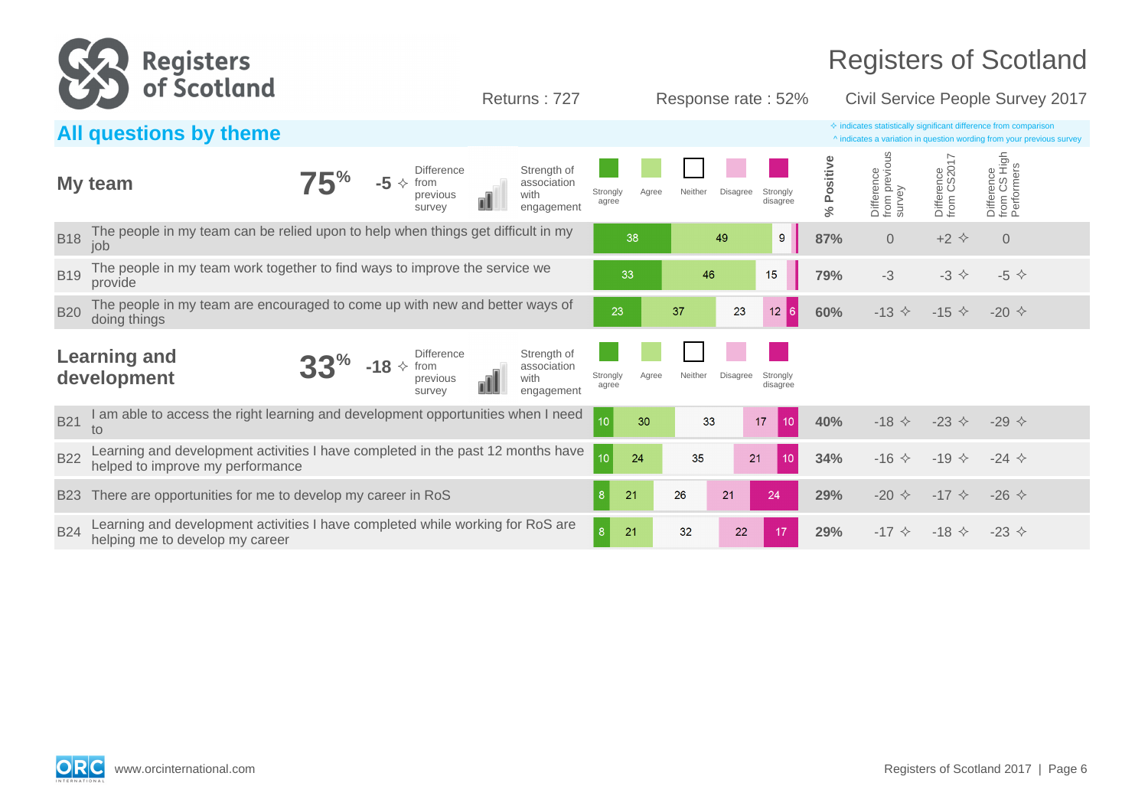

|            | All questions by theme                                                                                                                                  |                      |                  |                                         | $\Diamond$ indicates statistically significant difference from comparison<br>^ indicates a variation in question wording from your previous survey |                                       |                                |                                          |  |
|------------|---------------------------------------------------------------------------------------------------------------------------------------------------------|----------------------|------------------|-----------------------------------------|----------------------------------------------------------------------------------------------------------------------------------------------------|---------------------------------------|--------------------------------|------------------------------------------|--|
|            | Strength of<br><b>Difference</b><br>$-5 \diamond$<br>My team<br>association<br>from<br>with<br>previous<br>engagement<br>survey                         | Strongly<br>agree    | Neither<br>Agree | <b>Disagree</b><br>Strongly<br>disagree | % Positive                                                                                                                                         | Difference<br>from previous<br>survey | O17<br>Difference<br>from CS20 | Difference<br>from CS High<br>Performers |  |
| <b>B18</b> | The people in my team can be relied upon to help when things get difficult in my<br>job                                                                 | 38                   |                  | 9<br>49                                 | 87%                                                                                                                                                | $\overline{0}$                        | $+2$ $\Leftrightarrow$         | $\overline{0}$                           |  |
| <b>B19</b> | The people in my team work together to find ways to improve the service we<br>provide                                                                   | 33                   | 46               | 15                                      | 79%                                                                                                                                                | $-3$                                  | $-3$ $\Leftrightarrow$         | $-5$ $\Leftrightarrow$                   |  |
| <b>B20</b> | The people in my team are encouraged to come up with new and better ways of<br>doing things                                                             | 23                   | 37               | 23<br>12<br>$6 \mid$                    | 60%                                                                                                                                                | $-13$ $\diamond$                      | $-15 \diamond$                 | $-20 \diamond$                           |  |
|            | Strength of<br><b>Learning and</b><br><b>Difference</b><br>$-18 \div$<br>from<br>association<br>development<br>with<br>previous<br>engagement<br>survey | Strongly<br>agree    | Neither<br>Agree | <b>Disagree</b><br>Strongly<br>disagree |                                                                                                                                                    |                                       |                                |                                          |  |
| <b>B21</b> | am able to access the right learning and development opportunities when I need<br>to                                                                    | 10<br>30             | 33               | 17<br>10 <sup>1</sup>                   | 40%                                                                                                                                                | $-18$ $\diamond$                      | $-23$ $\diamond$               | $-29$ $\diamond$                         |  |
| <b>B22</b> | Learning and development activities I have completed in the past 12 months have<br>helped to improve my performance                                     | 10<br>24             | 35               | 21<br>10                                | 34%                                                                                                                                                | $-16$ $\diamond$                      | $-19$ $\diamond$               | $-24$ $\diamond$                         |  |
| <b>B23</b> | There are opportunities for me to develop my career in RoS                                                                                              | 21                   | 26               | 21<br>24                                | 29%                                                                                                                                                | $-20 \diamond$                        | $-17$ $\diamond$               | $-26$ $\diamond$                         |  |
| <b>B24</b> | Learning and development activities I have completed while working for RoS are<br>helping me to develop my career                                       | 8 <sup>°</sup><br>21 | 32               | 22<br>17                                | 29%                                                                                                                                                | $-17$ $\diamond$                      | $-18 \diamond$                 | $-23 \diamond$                           |  |

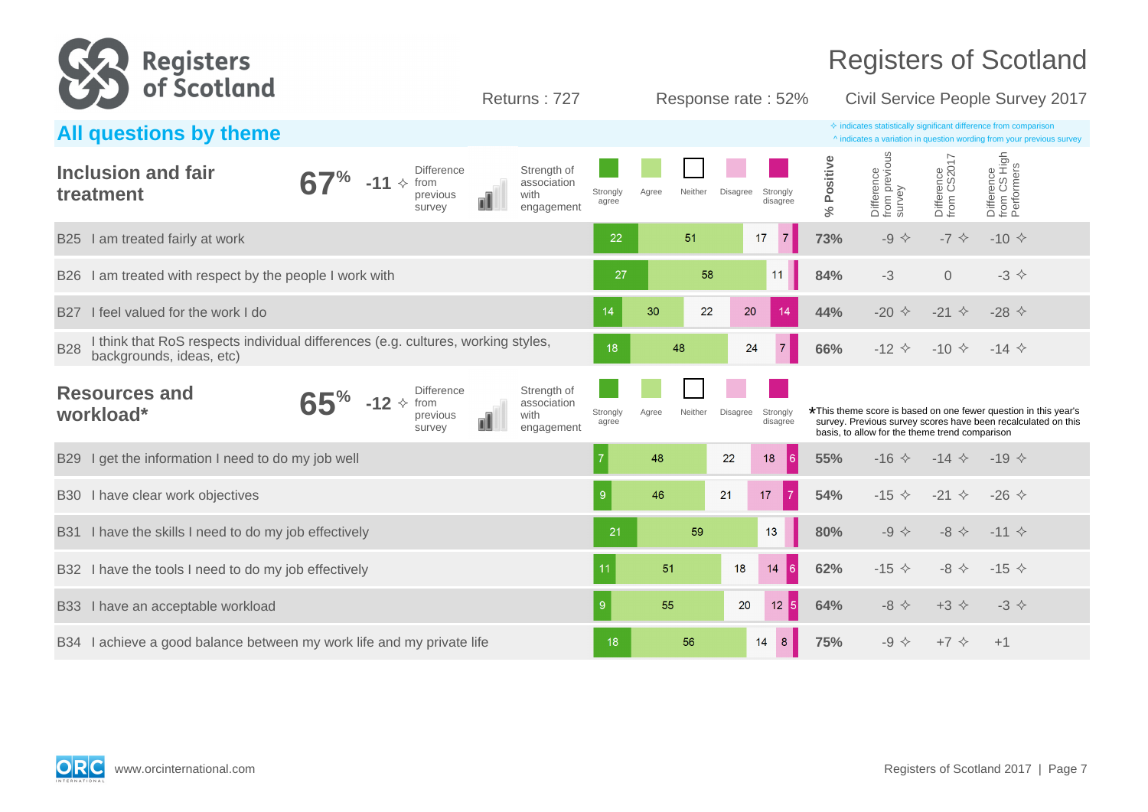

| All questions by theme                                                                                                     |            |                 |                                                 |   |                                                  |                   |       |         |          |                      |                      | $\Diamond$ indicates statistically significant difference from comparison<br>^ indicates a variation in question wording from your previous survey                                 |                           |                                          |  |
|----------------------------------------------------------------------------------------------------------------------------|------------|-----------------|-------------------------------------------------|---|--------------------------------------------------|-------------------|-------|---------|----------|----------------------|----------------------|------------------------------------------------------------------------------------------------------------------------------------------------------------------------------------|---------------------------|------------------------------------------|--|
| Inclusion and fair<br>treatment                                                                                            | $\gamma_0$ | $-11 \diamond$  | <b>Difference</b><br>from<br>previous<br>survey | ℿ | Strength of<br>association<br>with<br>engagement | Strongly<br>agree | Agree | Neither | Disagree | Strongly<br>disagree | Positive<br>$\aleph$ | Difference<br>from previous<br>survey                                                                                                                                              | Difference<br>from CS2017 | Difference<br>from CS High<br>Performers |  |
| I am treated fairly at work<br><b>B25</b>                                                                                  |            |                 |                                                 |   |                                                  | 22                |       | 51      | 17       | $\mathbf{7}$         | 73%                  | $-9$ $\diamond$                                                                                                                                                                    | $-7$ $\Leftrightarrow$    | $-10 \div$                               |  |
| I am treated with respect by the people I work with<br><b>B26</b>                                                          |            |                 |                                                 |   |                                                  | 27                |       | 58      |          | 11                   | 84%                  | $-3$                                                                                                                                                                               | $\overline{0}$            | $-3$ $\diamond$                          |  |
| I feel valued for the work I do<br><b>B27</b>                                                                              |            |                 |                                                 |   |                                                  | 14                | 30    | 22      | 20       | 14                   | 44%                  | -20 $\Diamond$                                                                                                                                                                     | $-21$ $\diamond$          | $-28$ $\diamond$                         |  |
| I think that RoS respects individual differences (e.g. cultures, working styles,<br><b>B28</b><br>backgrounds, ideas, etc) |            |                 |                                                 |   |                                                  | 18                |       | 48      | 24       | $\overline{7}$       | 66%                  | $-12$ $\diamond$                                                                                                                                                                   | $-10 \div$                | $-14 \diamond$                           |  |
| <b>Resources and</b><br>workload*                                                                                          | 70         | $-12 \div$ from | <b>Difference</b><br>previous<br>survey         | ₪ | Strength of<br>association<br>with<br>engagement | Strongly<br>agree | Agree | Neither | Disagree | Strongly<br>disagree |                      | *This theme score is based on one fewer question in this year's<br>survey. Previous survey scores have been recalculated on this<br>basis, to allow for the theme trend comparison |                           |                                          |  |
| I get the information I need to do my job well<br><b>B29</b>                                                               |            |                 |                                                 |   |                                                  | $\overline{7}$    | 48    |         | 22       | $\overline{6}$<br>18 | 55%                  | $-16$ $\Diamond$                                                                                                                                                                   | $-14$ $\diamond$          | $-19 \diamond$                           |  |
| I have clear work objectives<br><b>B30</b>                                                                                 |            |                 |                                                 |   |                                                  |                   | 46    |         | 21       | $\overline{7}$<br>17 | 54%                  | $-15$ $\diamond$                                                                                                                                                                   | $-21$ $\diamond$          | $-26$ $\diamond$                         |  |
| I have the skills I need to do my job effectively<br><b>B31</b>                                                            |            |                 |                                                 |   |                                                  | 21                |       | 59      |          | 13                   | 80%                  | $-9$ $\diamond$                                                                                                                                                                    | $-8$ $\Leftrightarrow$    | $-11$ $\diamond$                         |  |
| I have the tools I need to do my job effectively<br>B32                                                                    |            |                 |                                                 |   |                                                  | 11                | 51    |         | 18       | 14<br>∎6             | 62%                  | $-15 \diamond$                                                                                                                                                                     | $-8$ $\leftrightarrow$    | $-15 \diamond$                           |  |
| I have an acceptable workload<br><b>B33</b>                                                                                |            |                 |                                                 |   |                                                  | 9                 | 55    |         | 20       | $12 \overline{5}$    | 64%                  | $-8$ $\leftrightarrow$                                                                                                                                                             | $+3$ $\Diamond$           | $-3$ $\diamond$                          |  |
| I achieve a good balance between my work life and my private life<br><b>B34</b>                                            |            |                 |                                                 |   |                                                  | 18                |       | 56      |          | 8 <sup>1</sup><br>14 | 75%                  | $-9$ $\diamond$                                                                                                                                                                    | $+7$ $\diamond$           | $+1$                                     |  |

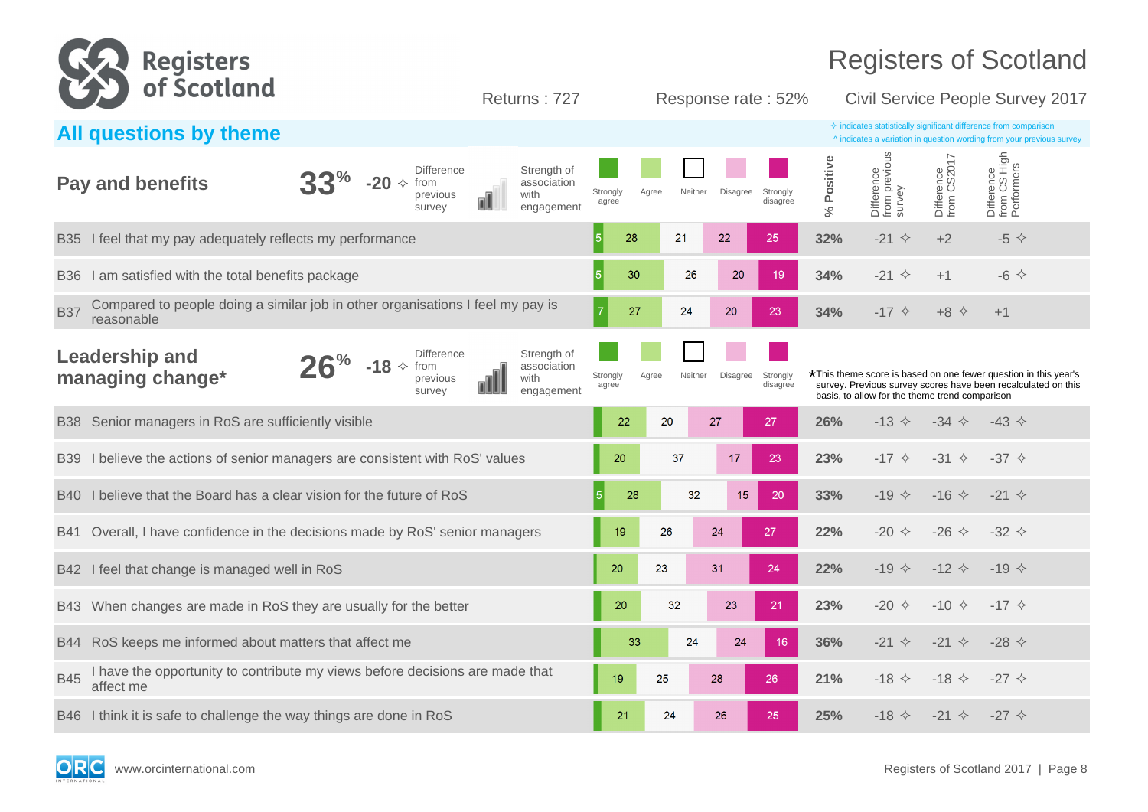

| All questions by theme                                                                                                                                               | $\Diamond$ indicates statistically significant difference from comparison<br>^ indicates a variation in question wording from your previous survey                                                                                                              |
|----------------------------------------------------------------------------------------------------------------------------------------------------------------------|-----------------------------------------------------------------------------------------------------------------------------------------------------------------------------------------------------------------------------------------------------------------|
| Strength of<br><b>Difference</b><br><b>Pay and benefits</b><br>$-20 \div$<br>from<br>association<br>with<br>previous<br>ℿ<br>engagement<br>survey                    | Difference<br>from previous<br>survey<br>Difference<br>from CS High<br>Performers<br>Difference<br>from CS2017<br>Positive<br>Strongly<br>Neither<br>Disagree<br>Strongly<br>Agree<br>disagree<br>agree<br>$\aleph$                                             |
| I feel that my pay adequately reflects my performance<br><b>B35</b>                                                                                                  | $-21$ $\diamond$<br>32%<br>$+2$<br>5<br>28<br>21<br>22<br>$-5$ $\leftrightarrow$<br>25                                                                                                                                                                          |
| I am satisfied with the total benefits package<br><b>B36</b>                                                                                                         | 5<br>30<br>20<br>26<br>34%<br>$-21$ $\diamond$<br>$-6$ $\leftrightarrow$<br>19<br>$+1$                                                                                                                                                                          |
| Compared to people doing a similar job in other organisations I feel my pay is<br><b>B37</b><br>reasonable                                                           | 27<br>24<br>20<br>34%<br>$-17$ $\diamond$<br>$+8$ $\Diamond$<br>23<br>$+1$                                                                                                                                                                                      |
| <b>Leadership and</b><br>Strength of<br><b>Difference</b><br>$6\%$<br>$-18 \div$ from<br>association<br>managing change*<br>with<br>previous<br>survey<br>engagement | *This theme score is based on one fewer question in this year's<br>Neither<br>Strongly<br>Agree<br>Disagree<br>Strongly<br>survey. Previous survey scores have been recalculated on this<br>agree<br>disagree<br>basis, to allow for the theme trend comparison |
| Senior managers in RoS are sufficiently visible<br><b>B38</b>                                                                                                        | 26%<br>$-13$ $\diamond$<br>22<br>20<br>27<br>27<br>$-34 \diamond$<br>$-43 \diamond$                                                                                                                                                                             |
| I believe the actions of senior managers are consistent with RoS' values<br><b>B39</b>                                                                               | 23%<br>20<br>37<br>17<br>23<br>$-17$ $\diamond$<br>$-31 \diamond$<br>$-37 \diamond$                                                                                                                                                                             |
| I believe that the Board has a clear vision for the future of RoS<br>B40                                                                                             | 28<br>32<br>15<br>20<br>33%<br>$-19$ $\diamond$<br>$-16 \div$<br>$-21$ $\diamond$                                                                                                                                                                               |
| Overall, I have confidence in the decisions made by RoS' senior managers<br><b>B41</b>                                                                               | $-26$ $\diamond$<br>19<br>26<br>24<br>27<br>22%<br>$-20 \diamond$<br>$-32 \diamond$                                                                                                                                                                             |
| I feel that change is managed well in RoS<br><b>B42</b>                                                                                                              | 20<br>23<br>31<br>24<br>22%<br>-19 $\triangle$<br>$-12$ $\diamond$<br>$-19 \diamond$                                                                                                                                                                            |
| When changes are made in RoS they are usually for the better<br>B43                                                                                                  | 20<br>32<br>23<br>21<br>23%<br>$-20 \diamond$<br>$-10 \div$<br>$-17$ $\diamond$                                                                                                                                                                                 |
| RoS keeps me informed about matters that affect me<br><b>B44</b>                                                                                                     | 33<br>36%<br>$-21$ $\diamond$<br>$-28$ $\diamond$<br>24<br>24<br>$-21$ $\diamond$<br>16                                                                                                                                                                         |
| I have the opportunity to contribute my views before decisions are made that<br><b>B45</b><br>affect me                                                              | 25<br>28<br>21%<br>$-18$ $\Diamond$<br>$-18$ $\Diamond$<br>$-27$ $\diamond$<br>19<br>26                                                                                                                                                                         |
| B46 I think it is safe to challenge the way things are done in RoS                                                                                                   | 25<br>21<br>24<br>26<br>25%<br>$-18$ $\Diamond$<br>$-21$ $\diamond$<br>$-27$ $\diamond$                                                                                                                                                                         |

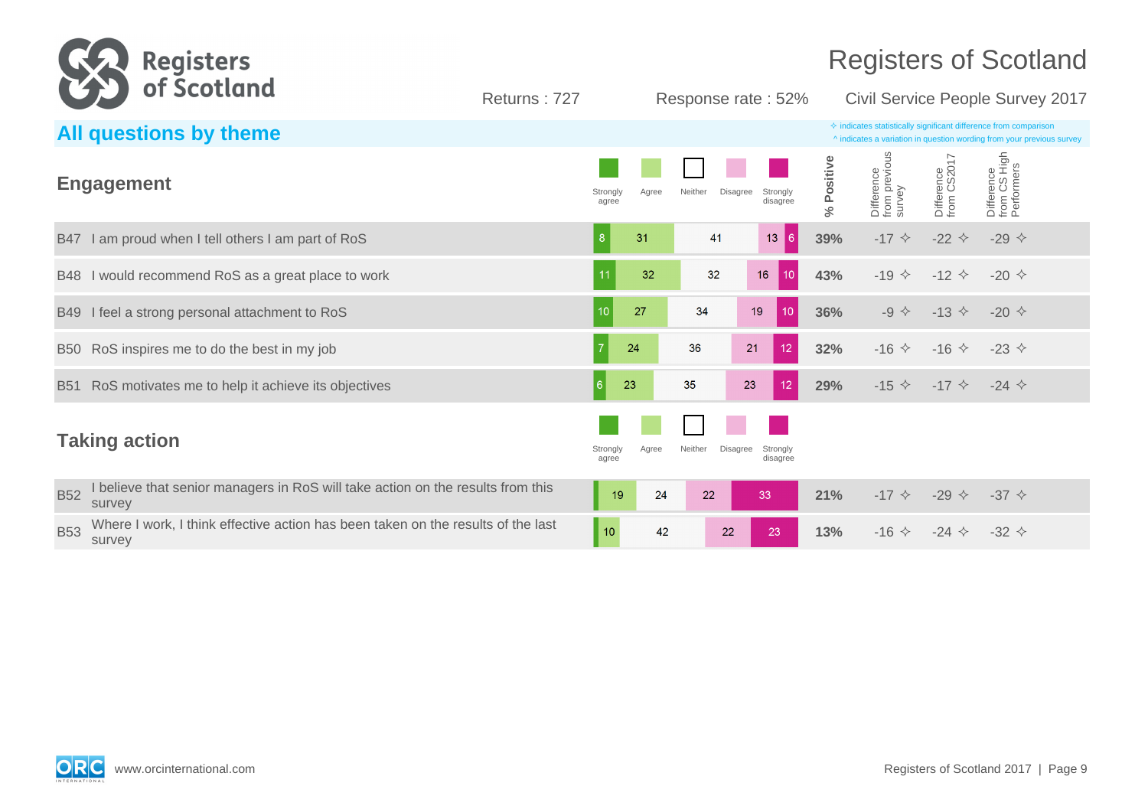

|            | All questions by theme                                                                     |                   |       |                     |                                  |            |                                       |                           | $\Diamond$ indicates statistically significant difference from comparison<br>^ indicates a variation in question wording from your previous survey |
|------------|--------------------------------------------------------------------------------------------|-------------------|-------|---------------------|----------------------------------|------------|---------------------------------------|---------------------------|----------------------------------------------------------------------------------------------------------------------------------------------------|
|            | <b>Engagement</b>                                                                          | Strongly<br>agree | Agree | Neither             | Disagree<br>Strongly<br>disagree | % Positive | Difference<br>from previous<br>survey | Difference<br>from CS2017 | Difference<br>from CS High<br>Performers                                                                                                           |
|            | B47 I am proud when I tell others I am part of RoS                                         | 8                 | 31    | 41                  | 13<br>6                          | 39%        | $-17$ $\diamond$                      | -22 $\leftrightarrow$     | -29 $\diamond$                                                                                                                                     |
|            | B48 I would recommend RoS as a great place to work                                         |                   | 32    | 32                  | 10 <sup>1</sup><br>16            | 43%        | $-19$ $\diamond$                      | $-12$ $\diamond$          | $-20 \diamond$                                                                                                                                     |
| B49        | I feel a strong personal attachment to RoS                                                 | 10 <sup>°</sup>   | 27    | 34                  | 19<br>10 <sup>°</sup>            | 36%        | $-9$ $\diamond$                       | $-13$ $\diamond$          | -20 $\Diamond$                                                                                                                                     |
|            | B50 RoS inspires me to do the best in my job                                               |                   | 24    | 36                  | 21<br>12                         | 32%        | $-16$ $\diamond$                      | $-16 \diamond$            | $-23$ $\diamond$                                                                                                                                   |
| <b>B51</b> | RoS motivates me to help it achieve its objectives                                         | 6                 | 23    | 35                  | 23<br>12                         | 29%        | $-15$ $\diamond$                      | $-17$ $\diamond$          | $-24$ $\diamond$                                                                                                                                   |
|            | <b>Taking action</b>                                                                       | Strongly<br>agree | Agree | Disagree<br>Neither | Strongly<br>disagree             |            |                                       |                           |                                                                                                                                                    |
| <b>B52</b> | believe that senior managers in RoS will take action on the results from this<br>survey    | 19                | 24    | 22                  | 33                               | 21%        | $-17$ $\diamond$                      | $-29$ $\diamond$          | $-37 \diamond$                                                                                                                                     |
| <b>B53</b> | Where I work, I think effective action has been taken on the results of the last<br>survey | $\blacksquare$ 10 | 42    | 22                  | 23                               | 13%        | $-16$ $\diamond$                      | $-24$ $\diamond$          | $-32 \div$                                                                                                                                         |

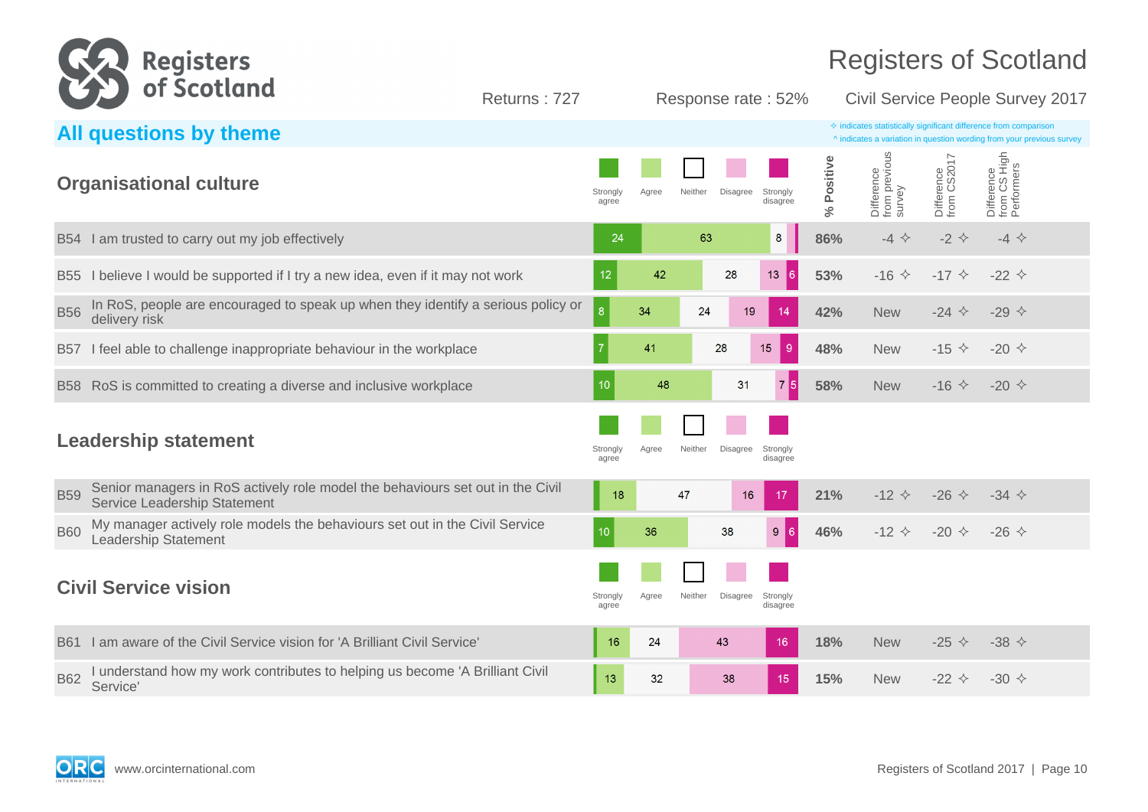

|            | All questions by theme                                                                                         |                   |       |                                                    |                  |                                       |                           | $\Diamond$ indicates statistically significant difference from comparison<br>^ indicates a variation in question wording from your previous survey |
|------------|----------------------------------------------------------------------------------------------------------------|-------------------|-------|----------------------------------------------------|------------------|---------------------------------------|---------------------------|----------------------------------------------------------------------------------------------------------------------------------------------------|
|            | <b>Organisational culture</b>                                                                                  | Strongly<br>agree | Agree | Neither<br>Disagree<br>Strongly<br>disagree        | Positive<br>$\%$ | Difference<br>from previous<br>survey | Difference<br>from CS2017 | Difference<br>from CS High<br>Performers                                                                                                           |
|            | B54 I am trusted to carry out my job effectively                                                               | 24                |       | 63<br>8                                            | 86%              | $-4$ $\Leftrightarrow$                | $-2$ $\leftrightarrow$    | $-4$ $\Leftrightarrow$                                                                                                                             |
| <b>B55</b> | I believe I would be supported if I try a new idea, even if it may not work                                    | 12                | 42    | 28<br>13<br>16.                                    | 53%              | $-16$ $\diamond$                      | $-17$ $\diamond$          | $-22 \div$                                                                                                                                         |
| <b>B56</b> | In RoS, people are encouraged to speak up when they identify a serious policy or<br>delivery risk              | $ 8\rangle$       | 34    | 24<br>19<br>14                                     | 42%              | <b>New</b>                            | $-24$ $\Leftrightarrow$   | -29 $\Diamond$                                                                                                                                     |
| <b>B57</b> | I feel able to challenge inappropriate behaviour in the workplace                                              |                   | 41    | 15<br>$\overline{9}$<br>28                         | 48%              | <b>New</b>                            | $-15 \diamond$            | $-20 \diamond$                                                                                                                                     |
| <b>B58</b> | RoS is committed to creating a diverse and inclusive workplace                                                 | 10                | 48    | 75<br>31                                           | 58%              | <b>New</b>                            | $-16$ $\triangle$         | -20 $\Diamond$                                                                                                                                     |
|            | <b>Leadership statement</b>                                                                                    | Strongly<br>agree | Agree | Neither<br><b>Disagree</b><br>Strongly<br>disagree |                  |                                       |                           |                                                                                                                                                    |
| <b>B59</b> | Senior managers in RoS actively role model the behaviours set out in the Civil<br>Service Leadership Statement | 18                |       | 47<br>16<br>17                                     | 21%              | $-12$ $\diamond$                      | $-26$ $\diamond$          | $-34$ $\diamond$                                                                                                                                   |
| <b>B60</b> | My manager actively role models the behaviours set out in the Civil Service<br><b>Leadership Statement</b>     | 10 <sup>°</sup>   | 36    | 9 <sub>6</sub><br>38                               | 46%              | $-12$ $\diamond$                      | $-20 \diamond$            | $-26$ $\diamond$                                                                                                                                   |
|            | <b>Civil Service vision</b>                                                                                    | Strongly<br>agree | Agree | Neither<br><b>Disagree</b><br>Strongly<br>disagree |                  |                                       |                           |                                                                                                                                                    |
| <b>B61</b> | I am aware of the Civil Service vision for 'A Brilliant Civil Service'                                         | 16                | 24    | 43<br>16                                           | 18%              | <b>New</b>                            | -25 $\diamond$            | -38 $\diamond$                                                                                                                                     |
| <b>B62</b> | I understand how my work contributes to helping us become 'A Brilliant Civil<br>Service'                       | 13                | 32    | 38<br>15                                           | 15%              | <b>New</b>                            | $-22 \div$                | $-30 \diamond$                                                                                                                                     |

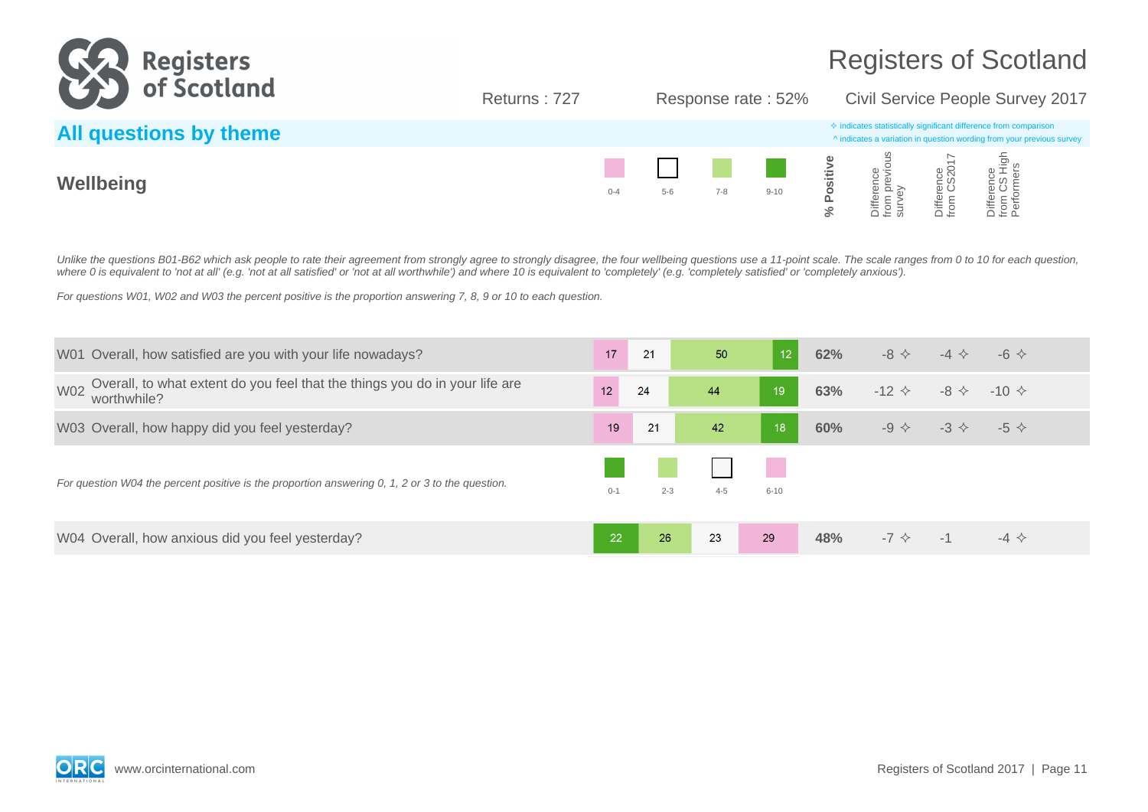

Returns : 727 Response rate : 52% Civil Service People Survey 2017

| All questions by theme |         |         |         |          |                                                                                                                                                                                                                                                                                                          |                  | $\Leftrightarrow$ indicates statistically significant difference from comparison<br>^ indicates a variation in question wording from your previous survey |  |
|------------------------|---------|---------|---------|----------|----------------------------------------------------------------------------------------------------------------------------------------------------------------------------------------------------------------------------------------------------------------------------------------------------------|------------------|-----------------------------------------------------------------------------------------------------------------------------------------------------------|--|
| Wellbeing              | $0 - 4$ | $5 - 6$ | $7 - 8$ | $9 - 10$ | $\frac{1}{2}$ and $\frac{1}{2}$ and $\frac{1}{2}$ and $\frac{1}{2}$ and $\frac{1}{2}$ and $\frac{1}{2}$ and $\frac{1}{2}$ and $\frac{1}{2}$ and $\frac{1}{2}$ and $\frac{1}{2}$ and $\frac{1}{2}$ and $\frac{1}{2}$ and $\frac{1}{2}$ and $\frac{1}{2}$ and $\frac{1}{2}$ and $\frac{1}{2}$ a<br>≪ ہے ہو | o a<br>S<br>iffe | $\frac{1}{2}$ in $\frac{1}{2}$<br>iiffer                                                                                                                  |  |

Unlike the questions B01-B62 which ask people to rate their agreement from strongly agree to strongly disagree, the four wellbeing questions use a 11-point scale. The scale ranges from 0 to 10 for each question, where 0 is equivalent to 'not at all' (e.g. 'not at all satisfied' or 'not at all worthwhile') and where 10 is equivalent to 'completely' (e.g. 'completely satisfied' or 'completely anxious').

For questions W01, W02 and W03 the percent positive is the proportion answering 7, 8, 9 or 10 to each question.

| W01 Overall, how satisfied are you with your life nowadays?                                              | 17              | 21      | 50      | 12 <sup>°</sup> | 62% | $-8$ $\leftrightarrow$ | $-4$ $\leftrightarrow$ | $-6$ $\leftrightarrow$ |  |
|----------------------------------------------------------------------------------------------------------|-----------------|---------|---------|-----------------|-----|------------------------|------------------------|------------------------|--|
| Overall, to what extent do you feel that the things you do in your life are<br><b>W02</b><br>worthwhile? | 12 <sup>1</sup> | 24      | 44      | 19              | 63% | $-12 \diamond$         | $-8 \diamondsuit$      | $-10 \diamond$         |  |
| W03 Overall, how happy did you feel yesterday?                                                           | 19              | 21      | 42      | $\overline{18}$ | 60% | $-9 \Leftrightarrow$   | $-3 \diamondsuit$      | $-5 \diamond$          |  |
| For question W04 the percent positive is the proportion answering 0, 1, 2 or 3 to the question.          | $0 - 1$         | $2 - 3$ | $4 - 5$ | $6 - 10$        |     |                        |                        |                        |  |
| W04 Overall, how anxious did you feel yesterday?                                                         | 22              | 26      | 23      | 29              | 48% | $-7$ $\diamondsuit$    | $-1$                   | $-4$ $\diamond$        |  |

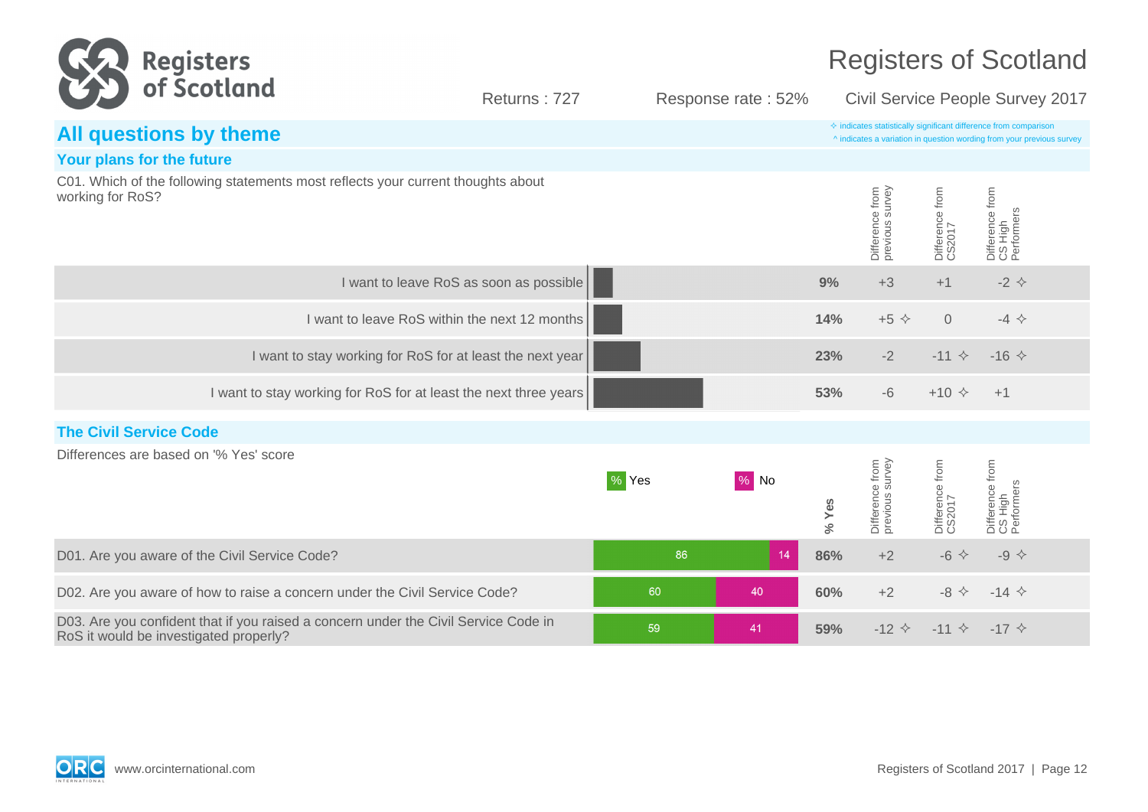| <b>Registers</b>                                                                                                              |                                         |       |                    | <b>Registers of Scotland</b> |                                    |                           |                                                                                                                                                    |  |
|-------------------------------------------------------------------------------------------------------------------------------|-----------------------------------------|-------|--------------------|------------------------------|------------------------------------|---------------------------|----------------------------------------------------------------------------------------------------------------------------------------------------|--|
| of Scotland                                                                                                                   | Returns: 727                            |       | Response rate: 52% |                              | Civil Service People Survey 2017   |                           |                                                                                                                                                    |  |
| All questions by theme                                                                                                        |                                         |       |                    |                              |                                    |                           | $\diamond$ indicates statistically significant difference from comparison<br>^ indicates a variation in question wording from your previous survey |  |
| Your plans for the future                                                                                                     |                                         |       |                    |                              |                                    |                           |                                                                                                                                                    |  |
| C01. Which of the following statements most reflects your current thoughts about<br>working for RoS?                          |                                         |       |                    |                              | Difference from<br>previous survey | Difference from<br>CS2017 | Difference from<br>CS High<br>Performers                                                                                                           |  |
|                                                                                                                               | I want to leave RoS as soon as possible |       |                    | 9%                           | $+3$                               | $+1$                      | $-2$ $\diamond$                                                                                                                                    |  |
| I want to leave RoS within the next 12 months                                                                                 |                                         |       |                    | 14%                          | $+5$ $\diamond$                    | $\overline{O}$            | $-4$ $\Leftrightarrow$                                                                                                                             |  |
| I want to stay working for RoS for at least the next year                                                                     |                                         |       |                    | 23%                          | $-2$                               | $-11$ $\diamond$          | $-16$ $\Diamond$                                                                                                                                   |  |
| I want to stay working for RoS for at least the next three years                                                              |                                         |       |                    | 53%                          | $-6$                               | $+10 \div$                | $+1$                                                                                                                                               |  |
| <b>The Civil Service Code</b>                                                                                                 |                                         |       |                    |                              |                                    |                           |                                                                                                                                                    |  |
| Differences are based on '% Yes' score                                                                                        |                                         | % Yes | $\%$ No            | % Yes                        | Difference from<br>previous survey | Difference from<br>CS2017 | Difference from<br>CS High<br>Performers                                                                                                           |  |
| D01. Are you aware of the Civil Service Code?                                                                                 |                                         | 86    | 14                 | 86%                          | $+2$                               | $-6$ $\Leftrightarrow$    | -9 $\diamond$                                                                                                                                      |  |
| D02. Are you aware of how to raise a concern under the Civil Service Code?                                                    |                                         | 60    | 40                 | 60%                          | $+2$                               | $-8$ $\leftrightarrow$    | $-14$ $\diamond$                                                                                                                                   |  |
| D03. Are you confident that if you raised a concern under the Civil Service Code in<br>RoS it would be investigated properly? |                                         | 59    | 41                 | 59%                          | $-12$ $\diamond$                   | $-11$ $\diamond$          | $-17$ $\diamond$                                                                                                                                   |  |



**Contract Contract Contract Contract**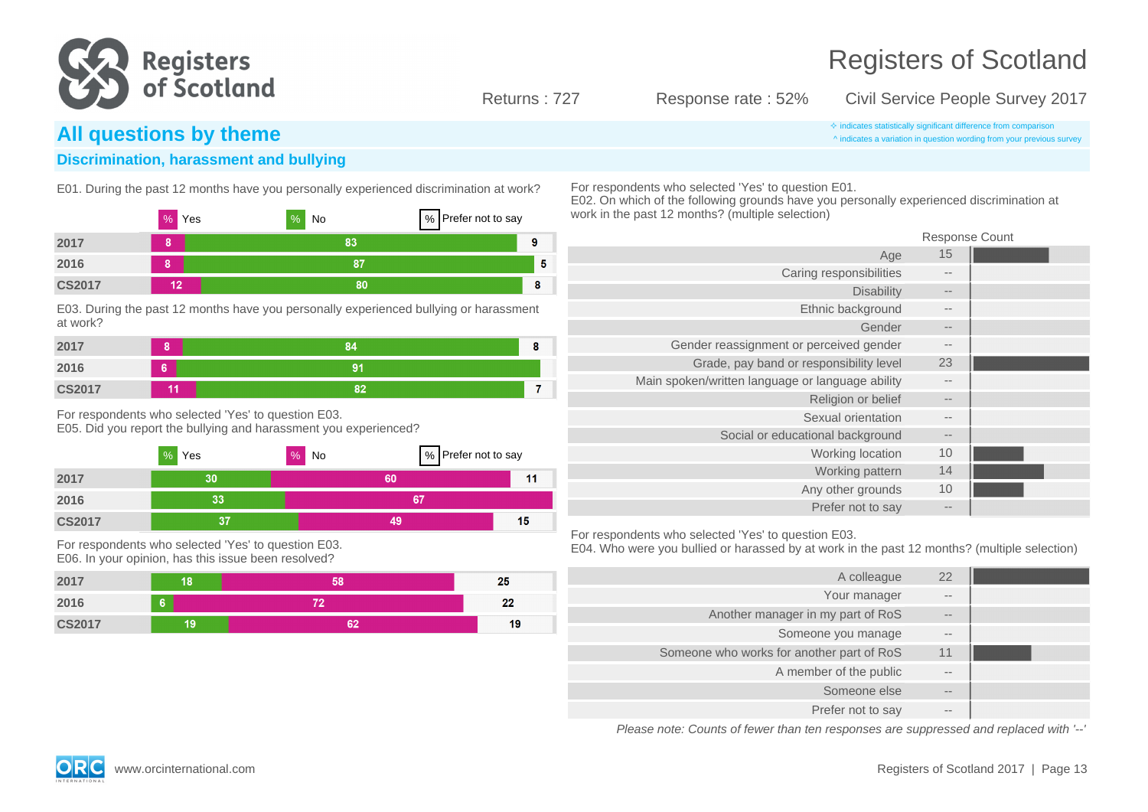

 $11$ 

Registers of Scotland

### Returns : 727 Response rate : 52% Civil Service People Survey 2017

^ indicates a variation in question wording from your previous survey

## **All questions by theme indicates statistically significant difference from comparison**

### **Discrimination, harassment and bullying**

E01. During the past 12 months have you personally experienced discrimination at work?

|               | %<br>Yes | %<br>No | % Prefer not to say |    |
|---------------|----------|---------|---------------------|----|
| 2017          | 8        | 83      |                     | 9  |
| 2016          | 8        | 87      |                     | -5 |
| <b>CS2017</b> | 12       | 80      |                     | 8  |

E03. During the past 12 months have you personally experienced bullying or harassment at work?

| 2017          | ο  | 84 |  |
|---------------|----|----|--|
| 2016          | 6  | 91 |  |
| <b>CS2017</b> | 44 | 82 |  |

For respondents who selected 'Yes' to question E03. E05. Did you report the bullying and harassment you experienced?

|      | %<br>Yes | %<br>No | % Prefer not to say |
|------|----------|---------|---------------------|
| 2017 |          |         |                     |

| 2016          | n e<br>. . | ~- |           |
|---------------|------------|----|-----------|
| <b>CS2017</b> |            |    | . .<br>15 |

For respondents who selected 'Yes' to question E03. E06. In your opinion, has this issue been resolved?



For respondents who selected 'Yes' to question E01.

E02. On which of the following grounds have you personally experienced discrimination at work in the past 12 months? (multiple selection)

|                                                  | <b>Response Count</b> |  |
|--------------------------------------------------|-----------------------|--|
| Age                                              | 15                    |  |
| Caring responsibilities                          | --                    |  |
| <b>Disability</b>                                | $- -$                 |  |
| Ethnic background                                | $- -$                 |  |
| Gender                                           | $- -$                 |  |
| Gender reassignment or perceived gender          | $\qquad \qquad -$     |  |
| Grade, pay band or responsibility level          | 23                    |  |
| Main spoken/written language or language ability | $- -$                 |  |
| Religion or belief                               | $\qquad \qquad -$     |  |
| Sexual orientation                               | $- -$                 |  |
| Social or educational background                 | $- -$                 |  |
| Working location                                 | 10                    |  |
| Working pattern                                  | 14                    |  |
| Any other grounds                                | 10                    |  |
| Prefer not to say                                | $- -$                 |  |

For respondents who selected 'Yes' to question E03.

E04. Who were you bullied or harassed by at work in the past 12 months? (multiple selection)

| 22                | A colleague                               |
|-------------------|-------------------------------------------|
| $\qquad \qquad -$ | Your manager                              |
| $\qquad \qquad -$ | Another manager in my part of RoS         |
| $- -$             | Someone you manage                        |
| 11                | Someone who works for another part of RoS |
| $- -$             | A member of the public                    |
| $- -$             | Someone else                              |
| $- -$             | Prefer not to say                         |

Please note: Counts of fewer than ten responses are suppressed and replaced with '--'



www.orcinternational.com **Registers of Scotland 2017** | Page 13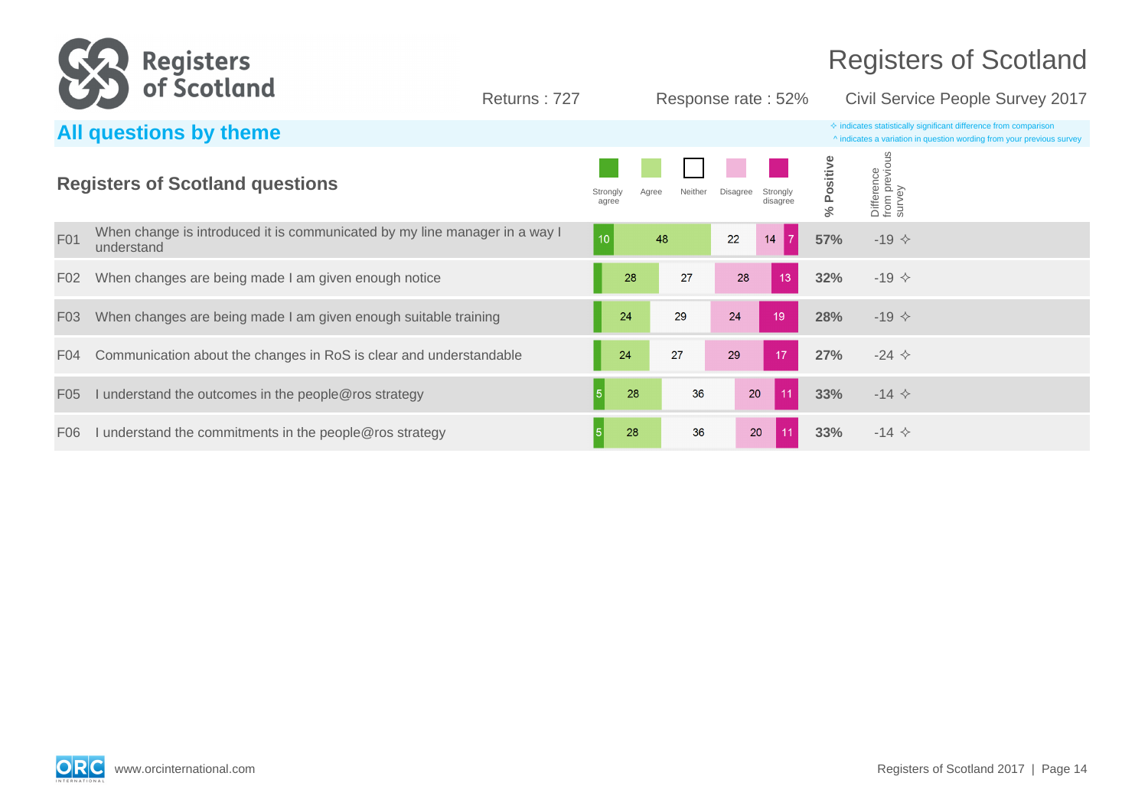

Returns : 727 Response rate : 52% Civil Service People Survey 2017

|                  | All questions by theme                                                                   |                   |       |         |          |                      |        |                                      | $\Diamond$ indicates statistically significant difference from comparison<br>^ indicates a variation in question wording from your previous survey |
|------------------|------------------------------------------------------------------------------------------|-------------------|-------|---------|----------|----------------------|--------|--------------------------------------|----------------------------------------------------------------------------------------------------------------------------------------------------|
|                  | <b>Registers of Scotland questions</b>                                                   | Strongly<br>agree | Agree | Neither | Disagree | Stronaly<br>disagree | ى<br>ج | Difference<br>from previou<br>survey |                                                                                                                                                    |
| F01              | When change is introduced it is communicated by my line manager in a way I<br>understand | 10                |       | 48      | 22       | 14                   | 57%    | $-19$ $\diamond$                     |                                                                                                                                                    |
| F <sub>0</sub> 2 | When changes are being made I am given enough notice                                     |                   | 28    | 27      | 28       | 13                   | 32%    | $-19$ $\diamond$                     |                                                                                                                                                    |
| F <sub>0</sub> 3 | When changes are being made I am given enough suitable training                          |                   | 24    | 29      | 24       | 19                   | 28%    | $-19$ $\diamond$                     |                                                                                                                                                    |
| F <sub>04</sub>  | Communication about the changes in RoS is clear and understandable                       |                   | 24    | 27      | 29       | 17                   | 27%    | $-24$ $\diamond$                     |                                                                                                                                                    |
| F <sub>05</sub>  | understand the outcomes in the people@ros strategy                                       | 5 <sup>5</sup>    | 28    | 36      | 20       | 11                   | 33%    | $-14$ $\diamond$                     |                                                                                                                                                    |
| F <sub>06</sub>  | I understand the commitments in the people@ros strategy                                  |                   | 28    | 36      | 20       | 11                   | 33%    | $-14$ $\diamond$                     |                                                                                                                                                    |

**ORC**